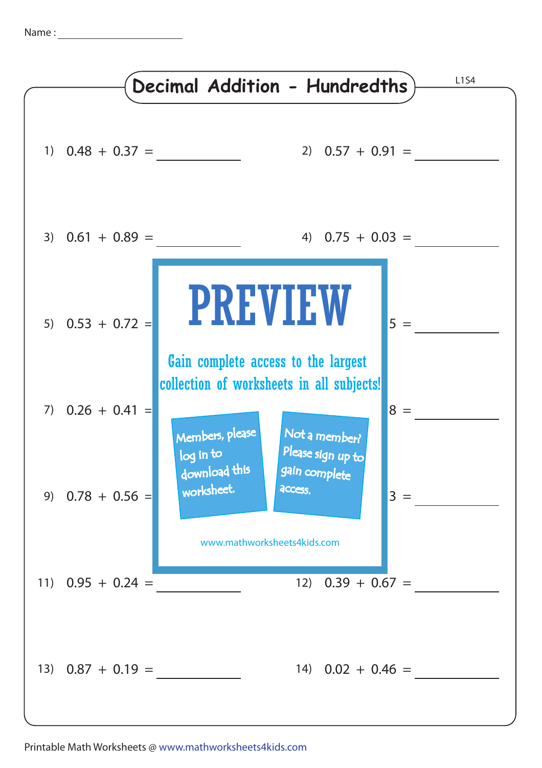